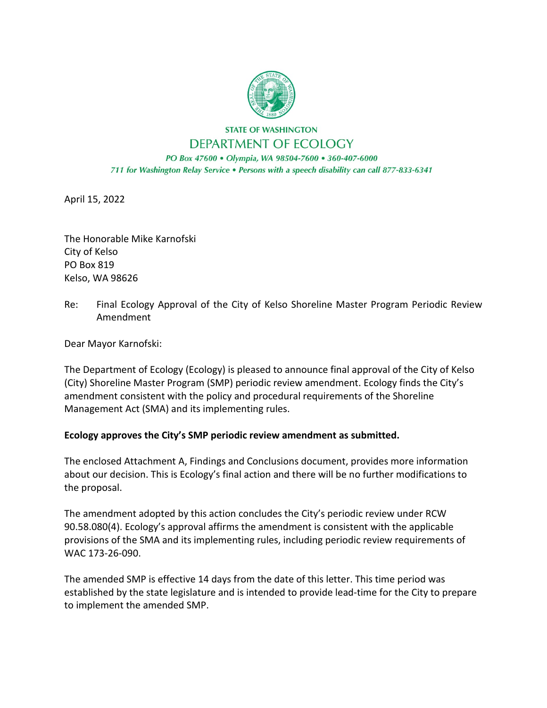

**STATE OF WASHINGTON** DEPARTMENT OF ECOLOGY

PO Box 47600 · Olympia, WA 98504-7600 · 360-407-6000 711 for Washington Relay Service . Persons with a speech disability can call 877-833-6341

April 15, 2022

The Honorable Mike Karnofski City of Kelso PO Box 819 Kelso, WA 98626

Re: Final Ecology Approval of the City of Kelso Shoreline Master Program Periodic Review Amendment

Dear Mayor Karnofski:

The Department of Ecology (Ecology) is pleased to announce final approval of the City of Kelso (City) Shoreline Master Program (SMP) periodic review amendment. Ecology finds the City's amendment consistent with the policy and procedural requirements of the Shoreline Management Act (SMA) and its implementing rules.

## **Ecology approves the City's SMP periodic review amendment as submitted.**

The enclosed Attachment A, Findings and Conclusions document, provides more information about our decision. This is Ecology's final action and there will be no further modifications to the proposal.

The amendment adopted by this action concludes the City's periodic review under RCW 90.58.080(4). Ecology's approval affirms the amendment is consistent with the applicable provisions of the SMA and its implementing rules, including periodic review requirements of WAC 173-26-090.

The amended SMP is effective 14 days from the date of this letter. This time period was established by the state legislature and is intended to provide lead-time for the City to prepare to implement the amended SMP.